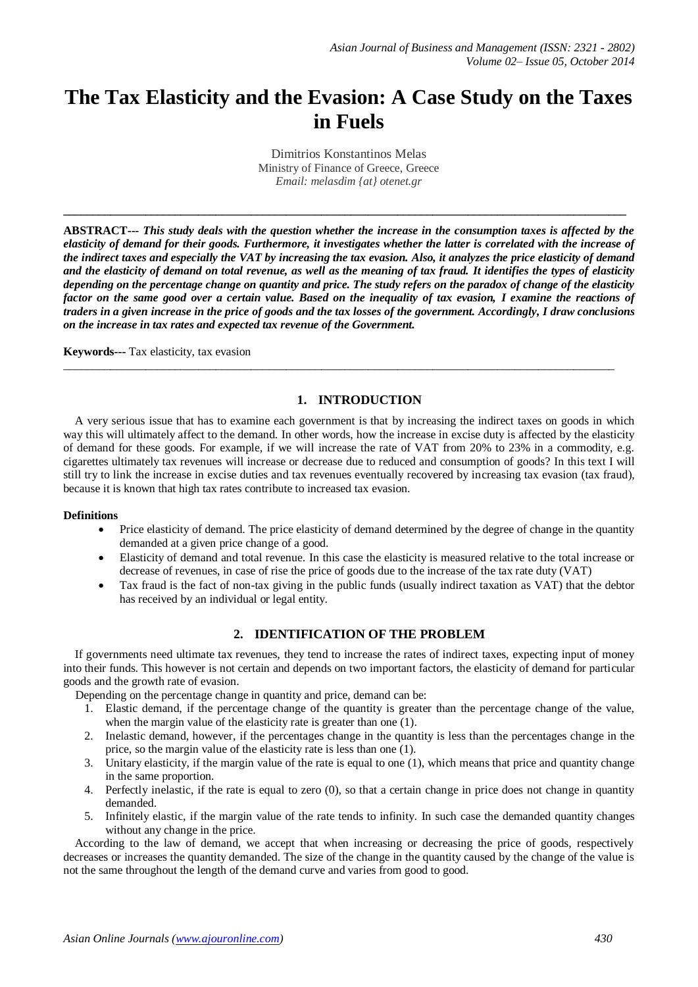# **The Tax Elasticity and the Evasion: A Case Study on the Taxes in Fuels**

Dimitrios Konstantinos Melas Ministry of Finance of Greece, Greece *Email: melasdim {at} otenet.gr*

**\_\_\_\_\_\_\_\_\_\_\_\_\_\_\_\_\_\_\_\_\_\_\_\_\_\_\_\_\_\_\_\_\_\_\_\_\_\_\_\_\_\_\_\_\_\_\_\_\_\_\_\_\_\_\_\_\_\_\_\_\_\_\_\_\_\_\_\_\_\_\_\_\_\_\_\_\_\_\_\_\_\_\_\_\_\_\_\_\_\_\_\_\_\_\_\_**

**ABSTRACT---** *This study deals with the question whether the increase in the consumption taxes is affected by the elasticity of demand for their goods. Furthermore, it investigates whether the latter is correlated with the increase of the indirect taxes and especially the VAT by increasing the tax evasion. Also, it analyzes the price elasticity of demand and the elasticity of demand on total revenue, as well as the meaning of tax fraud. It identifies the types of elasticity depending on the percentage change on quantity and price. The study refers on the paradox of change of the elasticity factor on the same good over a certain value. Based on the inequality of tax evasion, I examine the reactions of traders in a given increase in the price of goods and the tax losses of the government. Accordingly, I draw conclusions on the increase in tax rates and expected tax revenue of the Government.*

 $\_$  ,  $\_$  ,  $\_$  ,  $\_$  ,  $\_$  ,  $\_$  ,  $\_$  ,  $\_$  ,  $\_$  ,  $\_$  ,  $\_$  ,  $\_$  ,  $\_$  ,  $\_$  ,  $\_$  ,  $\_$  ,  $\_$  ,  $\_$  ,  $\_$  ,  $\_$  ,  $\_$  ,  $\_$  ,  $\_$  ,  $\_$  ,  $\_$  ,  $\_$  ,  $\_$  ,  $\_$  ,  $\_$  ,  $\_$  ,  $\_$  ,  $\_$  ,  $\_$  ,  $\_$  ,  $\_$  ,  $\_$  ,  $\_$  ,

**Keywords---** Tax elasticity, tax evasion

### **1. INTRODUCTION**

 A very serious issue that has to examine each government is that by increasing the indirect taxes on goods in which way this will ultimately affect to the demand. In other words, how the increase in excise duty is affected by the elasticity of demand for these goods. For example, if we will increase the rate of VAT from 20% to 23% in a commodity, e.g. cigarettes ultimately tax revenues will increase or decrease due to reduced and consumption of goods? In this text I will still try to link the increase in excise duties and tax revenues eventually recovered by increasing tax evasion (tax fraud), because it is known that high tax rates contribute to increased tax evasion.

#### **Definitions**

- Price elasticity of demand. The price elasticity of demand determined by the degree of change in the quantity demanded at a given price change of a good.
- Elasticity of demand and total revenue. In this case the elasticity is measured relative to the total increase or decrease of revenues, in case of rise the price of goods due to the increase of the tax rate duty (VAT)
- Tax fraud is the fact of non-tax giving in the public funds (usually indirect taxation as VAT) that the debtor has received by an individual or legal entity.

#### **2. IDENTIFICATION OF THE PROBLEM**

 If governments need ultimate tax revenues, they tend to increase the rates of indirect taxes, expecting input of money into their funds. This however is not certain and depends on two important factors, the elasticity of demand for particular goods and the growth rate of evasion.

Depending on the percentage change in quantity and price, demand can be:

- 1. Elastic demand, if the percentage change of the quantity is greater than the percentage change of the value, when the margin value of the elasticity rate is greater than one (1).
- 2. Inelastic demand, however, if the percentages change in the quantity is less than the percentages change in the price, so the margin value of the elasticity rate is less than one (1).
- 3. Unitary elasticity, if the margin value of the rate is equal to one (1), which means that price and quantity change in the same proportion.
- 4. Perfectly inelastic, if the rate is equal to zero (0), so that a certain change in price does not change in quantity demanded.
- 5. Infinitely elastic, if the margin value of the rate tends to infinity. In such case the demanded quantity changes without any change in the price.

 According to the law of demand, we accept that when increasing or decreasing the price of goods, respectively decreases or increases the quantity demanded. The size of the change in the quantity caused by the change of the value is not the same throughout the length of the demand curve and varies from good to good.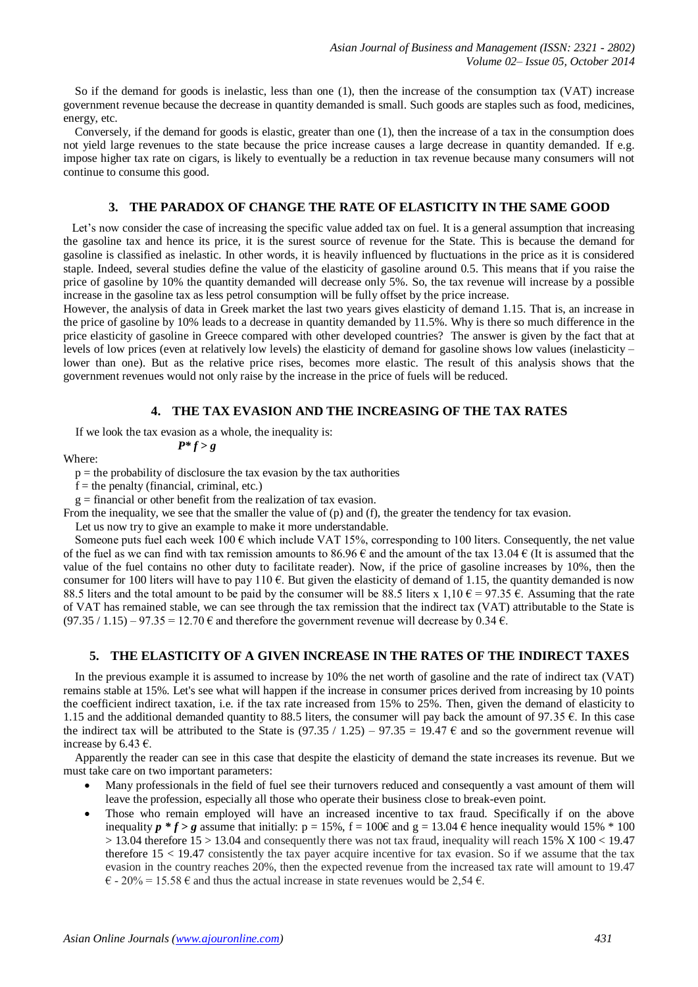So if the demand for goods is inelastic, less than one (1), then the increase of the consumption tax (VAT) increase government revenue because the decrease in quantity demanded is small. Such goods are staples such as food, medicines, energy, etc.

 Conversely, if the demand for goods is elastic, greater than one (1), then the increase of a tax in the consumption does not yield large revenues to the state because the price increase causes a large decrease in quantity demanded. If e.g. impose higher tax rate on cigars, is likely to eventually be a reduction in tax revenue because many consumers will not continue to consume this good.

#### **3. THE PARADOX OF CHANGE THE RATE OF ELASTICITY IN THE SAME GOOD**

 Let's now consider the case of increasing the specific value added tax on fuel. It is a general assumption that increasing the gasoline tax and hence its price, it is the surest source of revenue for the State. This is because the demand for gasoline is classified as inelastic. In other words, it is heavily influenced by fluctuations in the price as it is considered staple. Indeed, several studies define the value of the elasticity of gasoline around 0.5. This means that if you raise the price of gasoline by 10% the quantity demanded will decrease only 5%. So, the tax revenue will increase by a possible increase in the gasoline tax as less petrol consumption will be fully offset by the price increase.

However, the analysis of data in Greek market the last two years gives elasticity of demand 1.15. That is, an increase in the price of gasoline by 10% leads to a decrease in quantity demanded by 11.5%. Why is there so much difference in the price elasticity of gasoline in Greece compared with other developed countries? The answer is given by the fact that at levels of low prices (even at relatively low levels) the elasticity of demand for gasoline shows low values (inelasticity – lower than one). But as the relative price rises, becomes more elastic. The result of this analysis shows that the government revenues would not only raise by the increase in the price of fuels will be reduced.

#### **4. THE TAX EVASION AND THE INCREASING OF THE TAX RATES**

 If we look the tax evasion as a whole, the inequality is: *P\* f > g*

Where:

 $p =$  the probability of disclosure the tax evasion by the tax authorities

 $f =$  the penalty (financial, criminal, etc.)

 $g =$  financial or other benefit from the realization of tax evasion.

From the inequality, we see that the smaller the value of (p) and (f), the greater the tendency for tax evasion.

Let us now try to give an example to make it more understandable.

Someone puts fuel each week  $100 \text{ }\epsilon$  which include VAT 15%, corresponding to 100 liters. Consequently, the net value of the fuel as we can find with tax remission amounts to 86.96  $\epsilon$  and the amount of the tax 13.04  $\epsilon$  (It is assumed that the value of the fuel contains no other duty to facilitate reader). Now, if the price of gasoline increases by 10%, then the consumer for 100 liters will have to pay 110  $\epsilon$ . But given the elasticity of demand of 1.15, the quantity demanded is now 88.5 liters and the total amount to be paid by the consumer will be 88.5 liters x 1,10  $\epsilon$  = 97.35  $\epsilon$ . Assuming that the rate of VAT has remained stable, we can see through the tax remission that the indirect tax (VAT) attributable to the State is  $(97.35 / 1.15) - 97.35 = 12.70 \text{ } \in \text{ and therefore the government revenue will decrease by } 0.34 \text{ } \in \text{.}$ 

## **5. THE ELASTICITY OF A GIVEN INCREASE IN THE RATES OF THE INDIRECT TAXES**

 In the previous example it is assumed to increase by 10% the net worth of gasoline and the rate of indirect tax (VAT) remains stable at 15%. Let's see what will happen if the increase in consumer prices derived from increasing by 10 points the coefficient indirect taxation, i.e. if the tax rate increased from 15% to 25%. Then, given the demand of elasticity to 1.15 and the additional demanded quantity to 88.5 liters, the consumer will pay back the amount of 97.35  $\epsilon$ . In this case the indirect tax will be attributed to the State is  $(97.35 / 1.25) - 97.35 = 19.47 \text{ }\epsilon$  and so the government revenue will increase by 6.43  $\epsilon$ .

 Apparently the reader can see in this case that despite the elasticity of demand the state increases its revenue. But we must take care on two important parameters:

- Many professionals in the field of fuel see their turnovers reduced and consequently a vast amount of them will leave the profession, especially all those who operate their business close to break-even point.
- Those who remain employed will have an increased incentive to tax fraud. Specifically if on the above inequality  $p * f > g$  assume that initially:  $p = 15\%$ ,  $f = 100\epsilon$  and  $g = 13.04 \epsilon$  hence inequality would 15%  $* 100$ > 13.04 therefore 15 > 13.04 and consequently there was not tax fraud, inequality will reach 15% Χ 100 < 19.47 therefore 15 < 19.47 consistently the tax payer acquire incentive for tax evasion. So if we assume that the tax evasion in the country reaches 20%, then the expected revenue from the increased tax rate will amount to 19.47  $\epsilon$  - 20% = 15.58  $\epsilon$  and thus the actual increase in state revenues would be 2.54  $\epsilon$ .